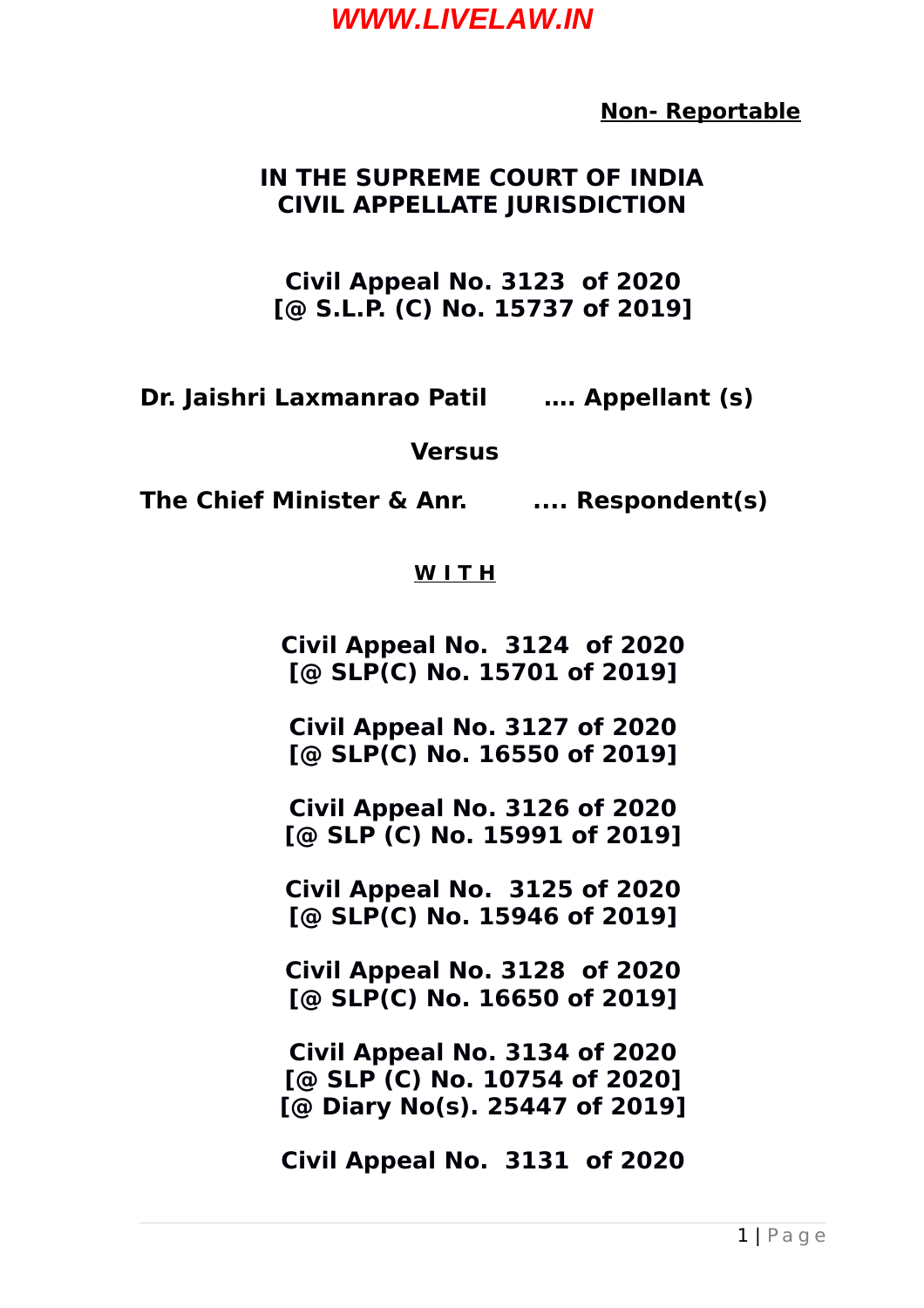**Non- Reportable**

#### **IN THE SUPREME COURT OF INDIA CIVIL APPELLATE JURISDICTION**

**Civil Appeal No. 3123 of 2020 [@ S.L.P. (C) No. 15737 of 2019]**

**Dr. Jaishri Laxmanrao Patil …. Appellant (s)**

**Versus**

**The Chief Minister & Anr. .... Respondent(s)**

#### **W I T H**

**Civil Appeal No. 3124 of 2020 [@ SLP(C) No. 15701 of 2019]**

**Civil Appeal No. 3127 of 2020 [@ SLP(C) No. 16550 of 2019]**

**Civil Appeal No. 3126 of 2020 [@ SLP (C) No. 15991 of 2019]**

**Civil Appeal No. 3125 of 2020 [@ SLP(C) No. 15946 of 2019]**

**Civil Appeal No. 3128 of 2020 [@ SLP(C) No. 16650 of 2019]**

**Civil Appeal No. 3134 of 2020 [@ SLP (C) No. 10754 of 2020] [@ Diary No(s). 25447 of 2019]**

**Civil Appeal No. 3131 of 2020**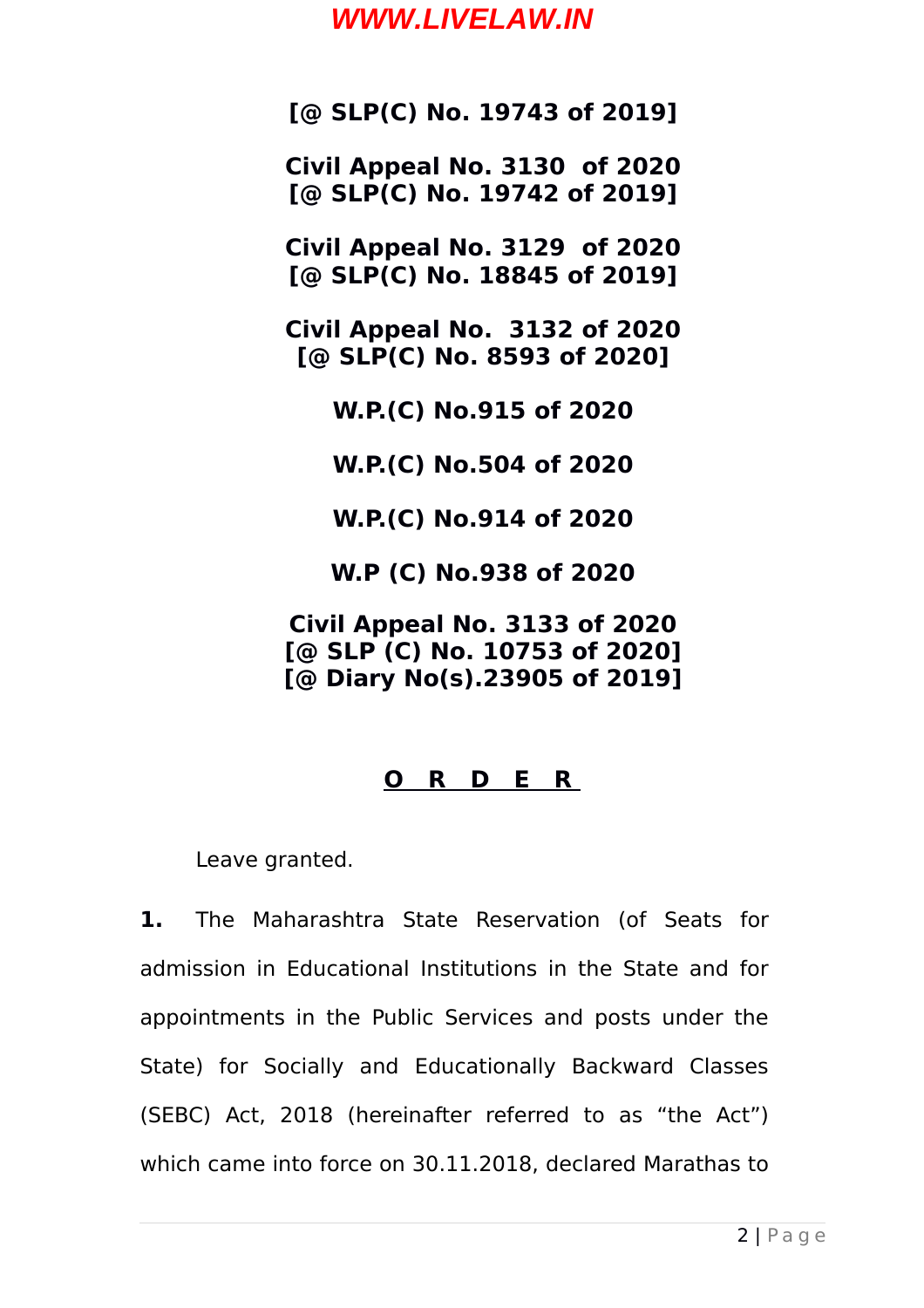**[@ SLP(C) No. 19743 of 2019]**

**Civil Appeal No. 3130 of 2020 [@ SLP(C) No. 19742 of 2019]**

**Civil Appeal No. 3129 of 2020 [@ SLP(C) No. 18845 of 2019]**

**Civil Appeal No. 3132 of 2020 [@ SLP(C) No. 8593 of 2020]**

**W.P.(C) No.915 of 2020**

**W.P.(C) No.504 of 2020**

**W.P.(C) No.914 of 2020**

**W.P (C) No.938 of 2020**

**Civil Appeal No. 3133 of 2020 [@ SLP (C) No. 10753 of 2020] [@ Diary No(s).23905 of 2019]**

#### **O R D E R**

Leave granted.

**1.** The Maharashtra State Reservation (of Seats for admission in Educational Institutions in the State and for appointments in the Public Services and posts under the State) for Socially and Educationally Backward Classes (SEBC) Act, 2018 (hereinafter referred to as "the Act") which came into force on 30.11.2018, declared Marathas to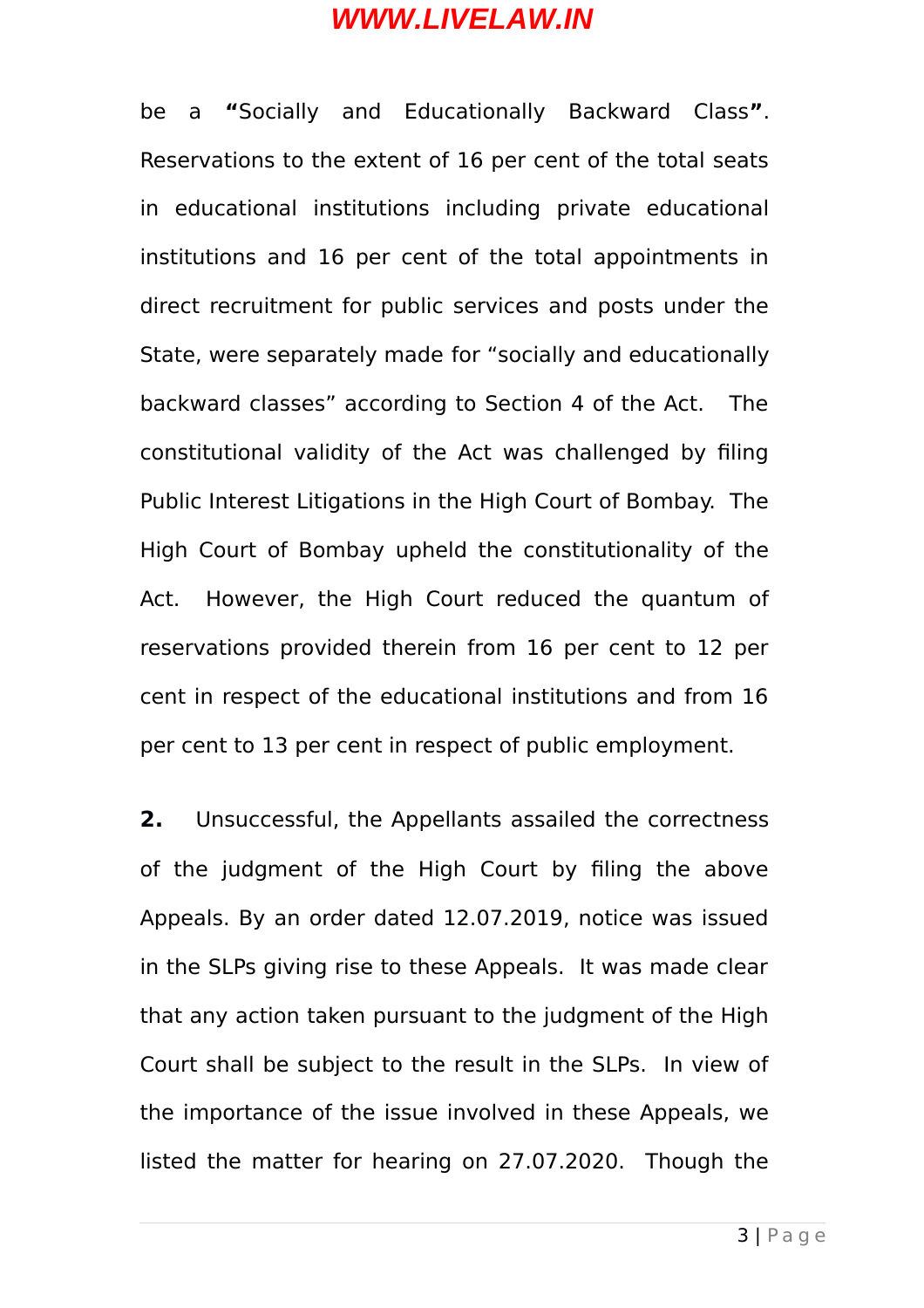be a **"**Socially and Educationally Backward Class**"**. Reservations to the extent of 16 per cent of the total seats in educational institutions including private educational institutions and 16 per cent of the total appointments in direct recruitment for public services and posts under the State, were separately made for "socially and educationally backward classes" according to Section 4 of the Act. The constitutional validity of the Act was challenged by filing Public Interest Litigations in the High Court of Bombay. The High Court of Bombay upheld the constitutionality of the Act. However, the High Court reduced the quantum of reservations provided therein from 16 per cent to 12 per cent in respect of the educational institutions and from 16 per cent to 13 per cent in respect of public employment.

**2.** Unsuccessful, the Appellants assailed the correctness of the judgment of the High Court by filing the above Appeals. By an order dated 12.07.2019, notice was issued in the SLPs giving rise to these Appeals. It was made clear that any action taken pursuant to the judgment of the High Court shall be subject to the result in the SLPs. In view of the importance of the issue involved in these Appeals, we listed the matter for hearing on 27.07.2020. Though the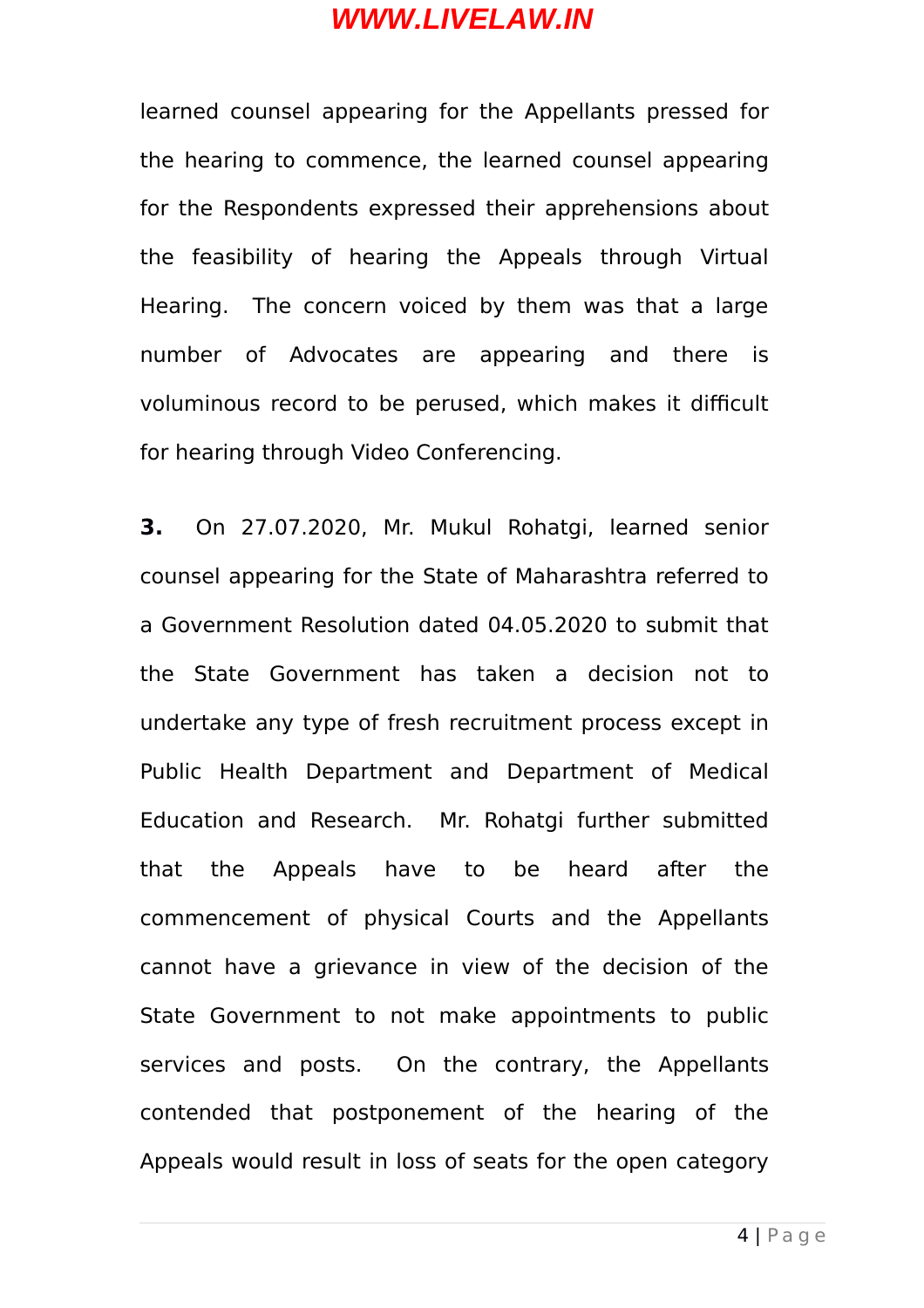learned counsel appearing for the Appellants pressed for the hearing to commence, the learned counsel appearing for the Respondents expressed their apprehensions about the feasibility of hearing the Appeals through Virtual Hearing. The concern voiced by them was that a large number of Advocates are appearing and there is voluminous record to be perused, which makes it difficult for hearing through Video Conferencing.

**3.** On 27.07.2020, Mr. Mukul Rohatgi, learned senior counsel appearing for the State of Maharashtra referred to a Government Resolution dated 04.05.2020 to submit that the State Government has taken a decision not to undertake any type of fresh recruitment process except in Public Health Department and Department of Medical Education and Research. Mr. Rohatgi further submitted that the Appeals have to be heard after the commencement of physical Courts and the Appellants cannot have a grievance in view of the decision of the State Government to not make appointments to public services and posts. On the contrary, the Appellants contended that postponement of the hearing of the Appeals would result in loss of seats for the open category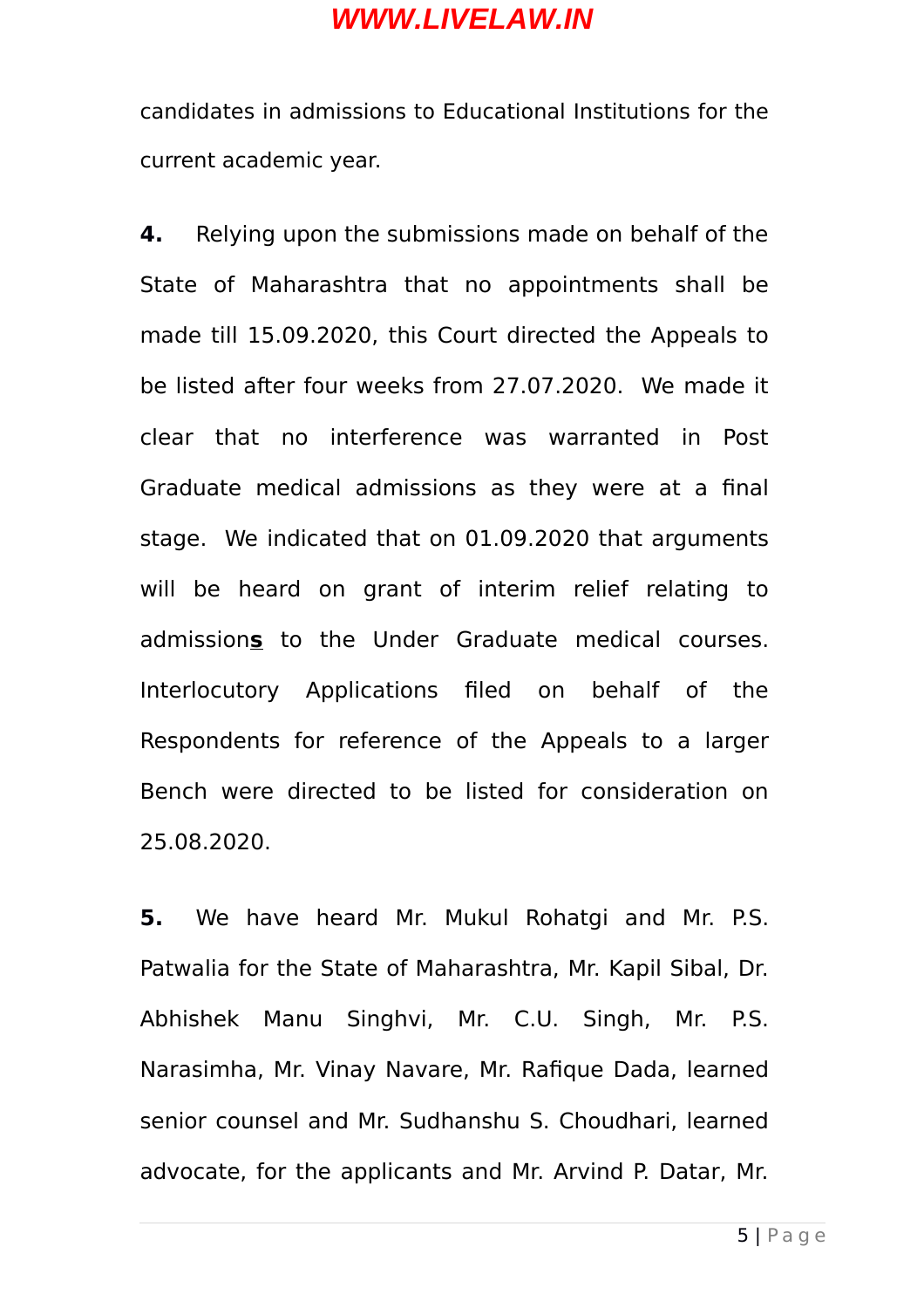candidates in admissions to Educational Institutions for the current academic year.

**4.** Relying upon the submissions made on behalf of the State of Maharashtra that no appointments shall be made till 15.09.2020, this Court directed the Appeals to be listed after four weeks from 27.07.2020. We made it clear that no interference was warranted in Post Graduate medical admissions as they were at a final stage. We indicated that on 01.09.2020 that arguments will be heard on grant of interim relief relating to admission**s** to the Under Graduate medical courses. Interlocutory Applications filed on behalf of the Respondents for reference of the Appeals to a larger Bench were directed to be listed for consideration on 25.08.2020.

**5.** We have heard Mr. Mukul Rohatgi and Mr. P.S. Patwalia for the State of Maharashtra, Mr. Kapil Sibal, Dr. Abhishek Manu Singhvi, Mr. C.U. Singh, Mr. P.S. Narasimha, Mr. Vinay Navare, Mr. Rafique Dada, learned senior counsel and Mr. Sudhanshu S. Choudhari, learned advocate, for the applicants and Mr. Arvind P. Datar, Mr.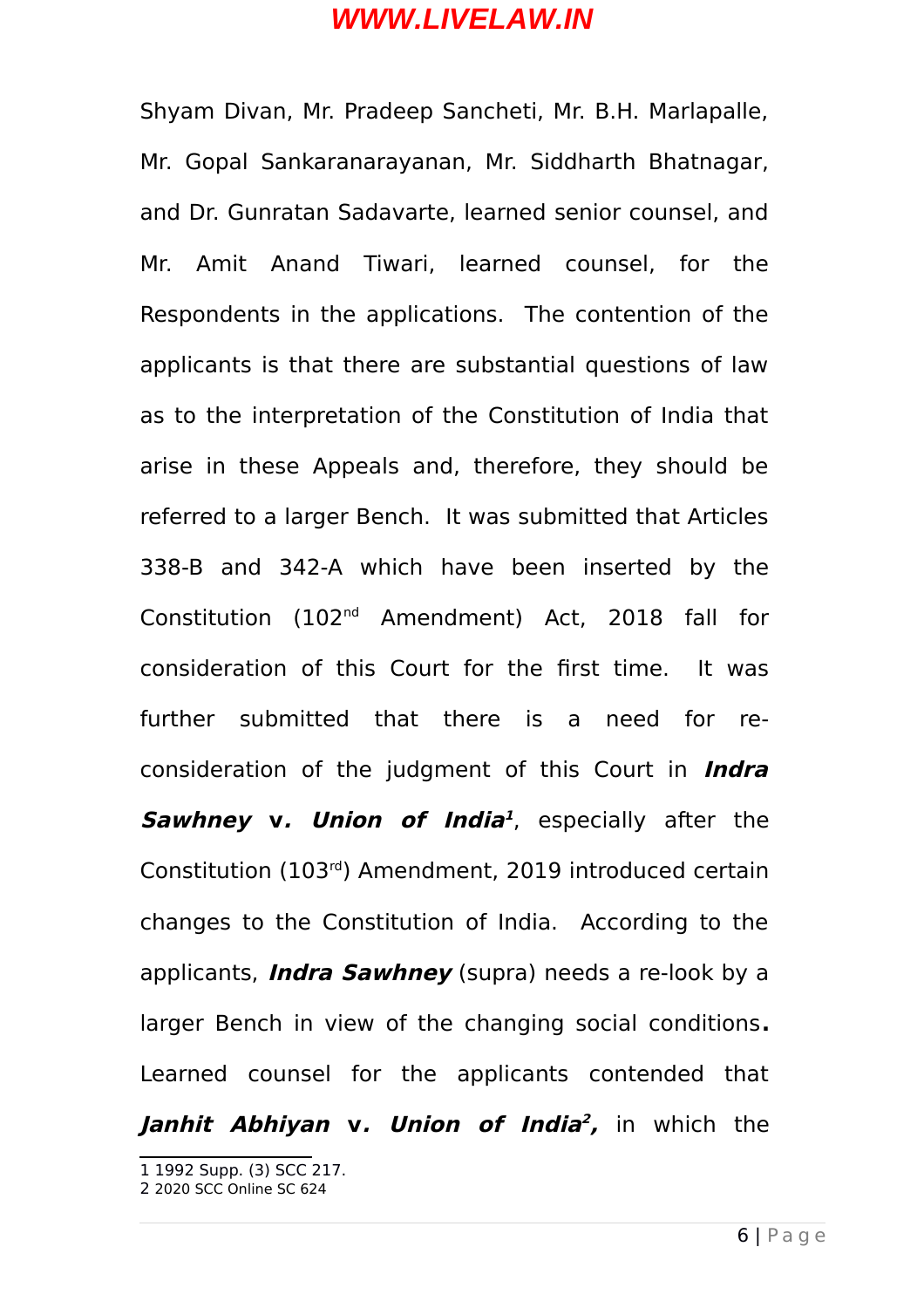Shyam Divan, Mr. Pradeep Sancheti, Mr. B.H. Marlapalle, Mr. Gopal Sankaranarayanan, Mr. Siddharth Bhatnagar, and Dr. Gunratan Sadavarte, learned senior counsel, and Mr. Amit Anand Tiwari, learned counsel, for the Respondents in the applications. The contention of the applicants is that there are substantial questions of law as to the interpretation of the Constitution of India that arise in these Appeals and, therefore, they should be referred to a larger Bench. It was submitted that Articles 338-B and 342-A which have been inserted by the Constitution (102nd Amendment) Act, 2018 fall for consideration of this Court for the first time. It was further submitted that there is a need for reconsideration of the judgment of this Court in **Indra Sawhney v. Union of India [1](#page-5-0)** , especially after the Constitution (103rd) Amendment, 2019 introduced certain changes to the Constitution of India. According to the applicants, **Indra Sawhney** (supra) needs a re-look by a larger Bench in view of the changing social conditions**.** Learned counsel for the applicants contended that **Janhit Abhiyan v. Union of India [2](#page-5-1) ,** in which the

<span id="page-5-0"></span><sup>1</sup> 1992 Supp. (3) SCC 217.

<span id="page-5-1"></span><sup>2</sup> 2020 SCC Online SC 624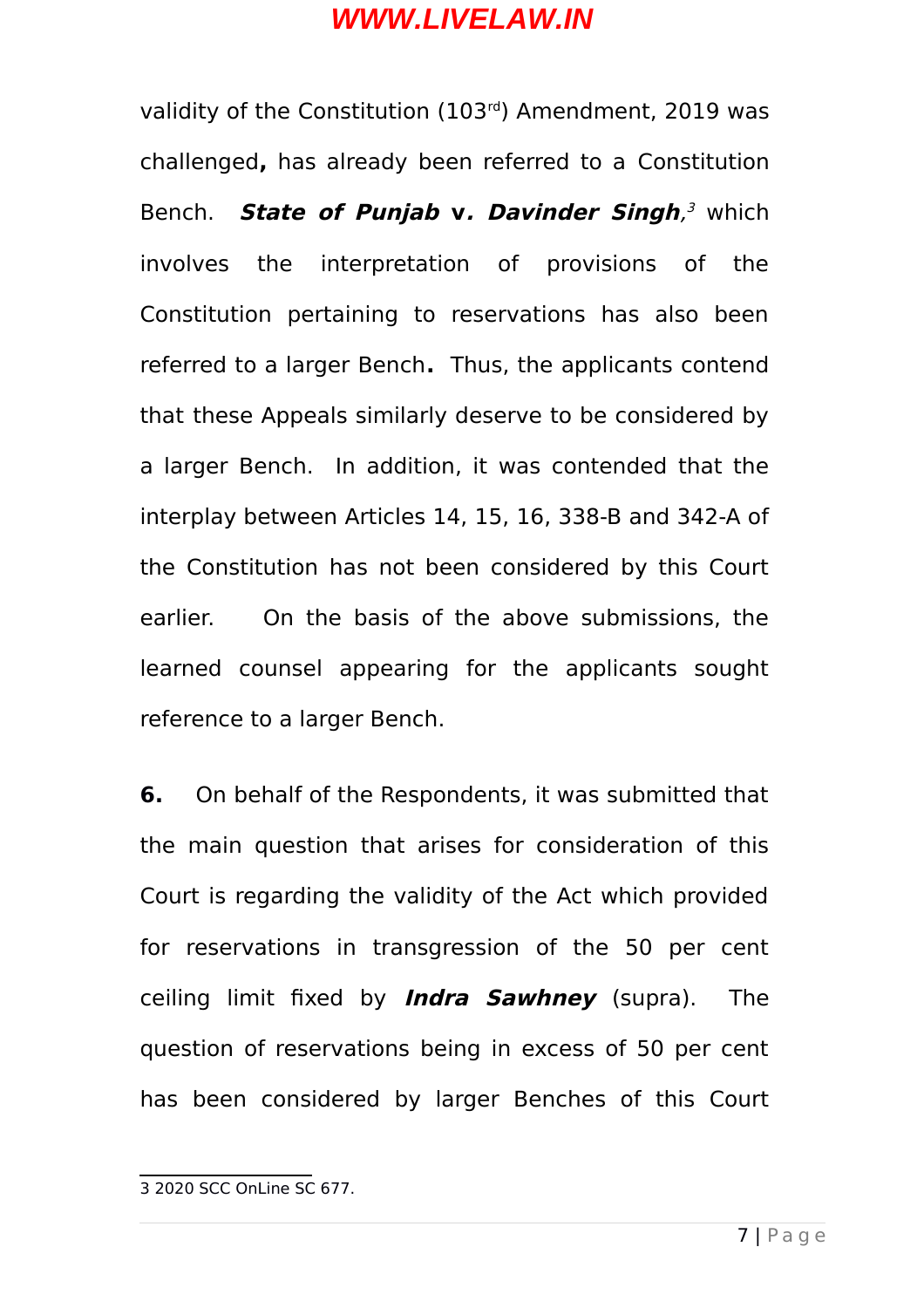validity of the Constitution (103<sup>rd</sup>) Amendment, 2019 was challenged**,** has already been referred to a Constitution Bench. **State of Punjab v. Davinder Singh**, [3](#page-6-0) which involves the interpretation of provisions of the Constitution pertaining to reservations has also been referred to a larger Bench**.** Thus, the applicants contend that these Appeals similarly deserve to be considered by a larger Bench. In addition, it was contended that the interplay between Articles 14, 15, 16, 338-B and 342-A of the Constitution has not been considered by this Court earlier. On the basis of the above submissions, the learned counsel appearing for the applicants sought reference to a larger Bench.

**6.** On behalf of the Respondents, it was submitted that the main question that arises for consideration of this Court is regarding the validity of the Act which provided for reservations in transgression of the 50 per cent ceiling limit fixed by **Indra Sawhney** (supra). The question of reservations being in excess of 50 per cent has been considered by larger Benches of this Court

<span id="page-6-0"></span><sup>3 2020</sup> SCC OnLine SC 677.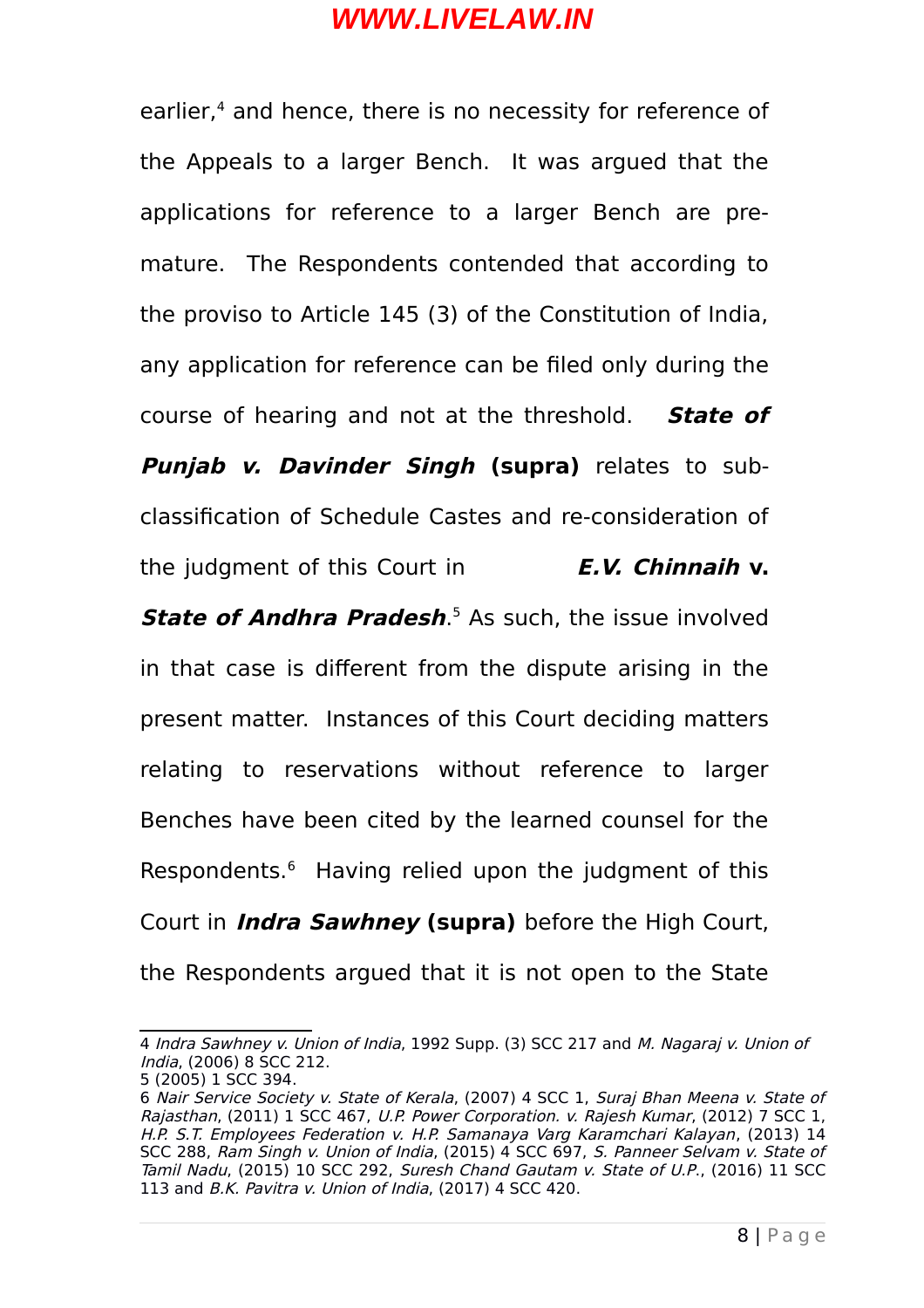earlier,<sup>[4](#page-7-0)</sup> and hence, there is no necessity for reference of the Appeals to a larger Bench. It was argued that the applications for reference to a larger Bench are premature. The Respondents contended that according to the proviso to Article 145 (3) of the Constitution of India, any application for reference can be filed only during the course of hearing and not at the threshold. **State of Punjab v. Davinder Singh (supra)** relates to subclassification of Schedule Castes and re-consideration of the judgment of this Court in **E.V. Chinnaih v.**

**State of Andhra Pradesh.**<sup>[5](#page-7-1)</sup> As such, the issue involved in that case is different from the dispute arising in the present matter. Instances of this Court deciding matters relating to reservations without reference to larger Benches have been cited by the learned counsel for the Respondents.[6](#page-7-2) Having relied upon the judgment of this Court in **Indra Sawhney (supra)** before the High Court, the Respondents argued that it is not open to the State

<span id="page-7-0"></span><sup>4</sup> Indra Sawhney v. Union of India, 1992 Supp. (3) SCC 217 and M. Nagaraj v. Union of India, (2006) 8 SCC 212.

<span id="page-7-1"></span><sup>5 (2005) 1</sup> SCC 394.

<span id="page-7-2"></span><sup>6</sup> Nair Service Society v. State of Kerala, (2007) 4 SCC 1, Suraj Bhan Meena v. State of Rajasthan, (2011) 1 SCC 467, U.P. Power Corporation. v. Rajesh Kumar, (2012) 7 SCC 1, H.P. S.T. Employees Federation v. H.P. Samanaya Varg Karamchari Kalayan, (2013) 14 SCC 288, Ram Singh v. Union of India, (2015) 4 SCC 697, S. Panneer Selvam v. State of Tamil Nadu, (2015) 10 SCC 292, Suresh Chand Gautam v. State of U.P., (2016) 11 SCC 113 and B.K. Pavitra v. Union of India, (2017) 4 SCC 420.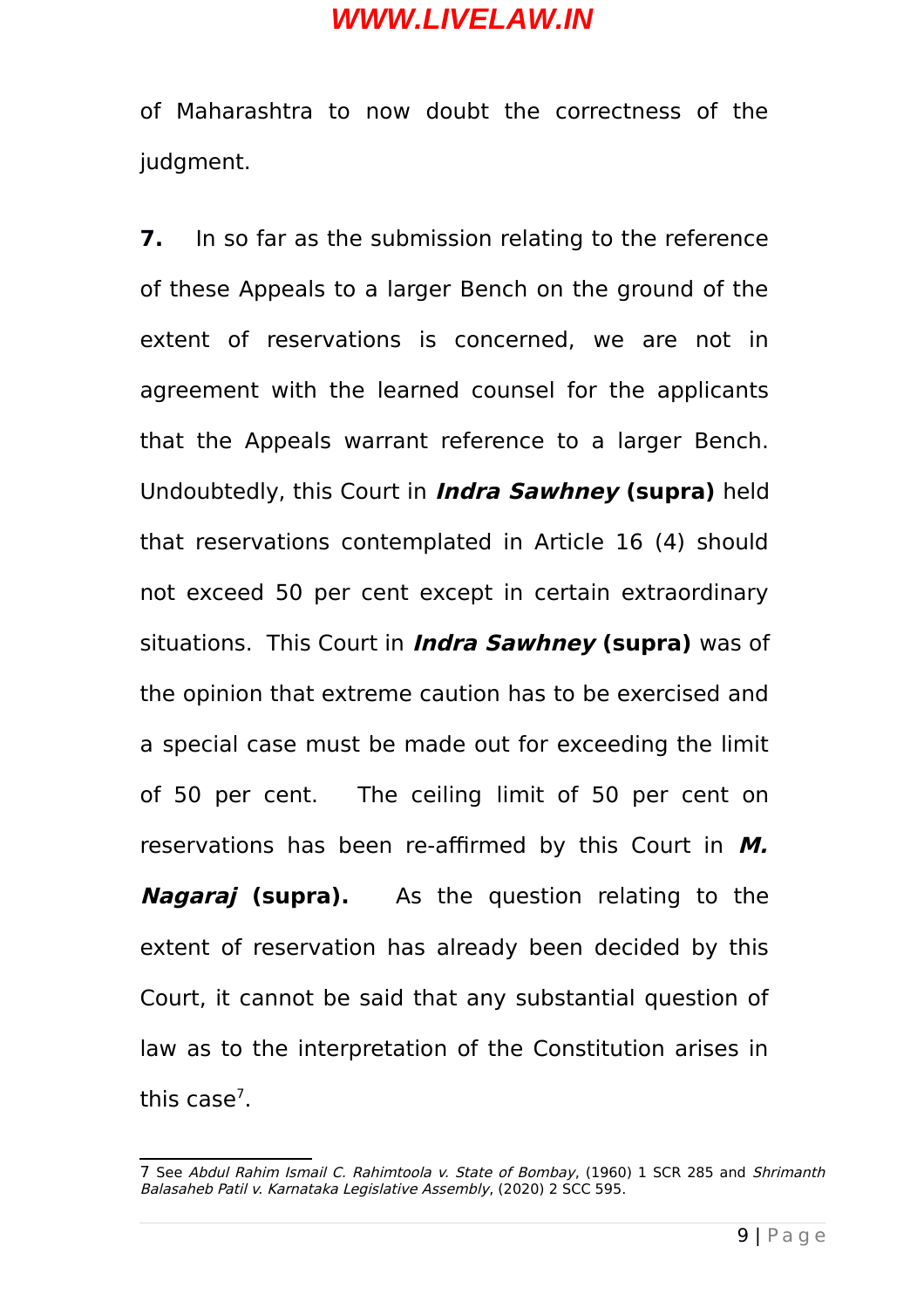of Maharashtra to now doubt the correctness of the judgment.

**7.** In so far as the submission relating to the reference of these Appeals to a larger Bench on the ground of the extent of reservations is concerned, we are not in agreement with the learned counsel for the applicants that the Appeals warrant reference to a larger Bench. Undoubtedly, this Court in **Indra Sawhney (supra)** held that reservations contemplated in Article 16 (4) should not exceed 50 per cent except in certain extraordinary situations. This Court in **Indra Sawhney (supra)** was of the opinion that extreme caution has to be exercised and a special case must be made out for exceeding the limit of 50 per cent. The ceiling limit of 50 per cent on reservations has been re-affirmed by this Court in **M. Nagaraj (supra).** As the question relating to the extent of reservation has already been decided by this Court, it cannot be said that any substantial question of law as to the interpretation of the Constitution arises in this case<sup>[7](#page-8-0)</sup>.

<span id="page-8-0"></span><sup>7</sup> See Abdul Rahim Ismail C. Rahimtoola v. State of Bombay, (1960) 1 SCR 285 and Shrimanth Balasaheb Patil v. Karnataka Legislative Assembly, (2020) 2 SCC 595.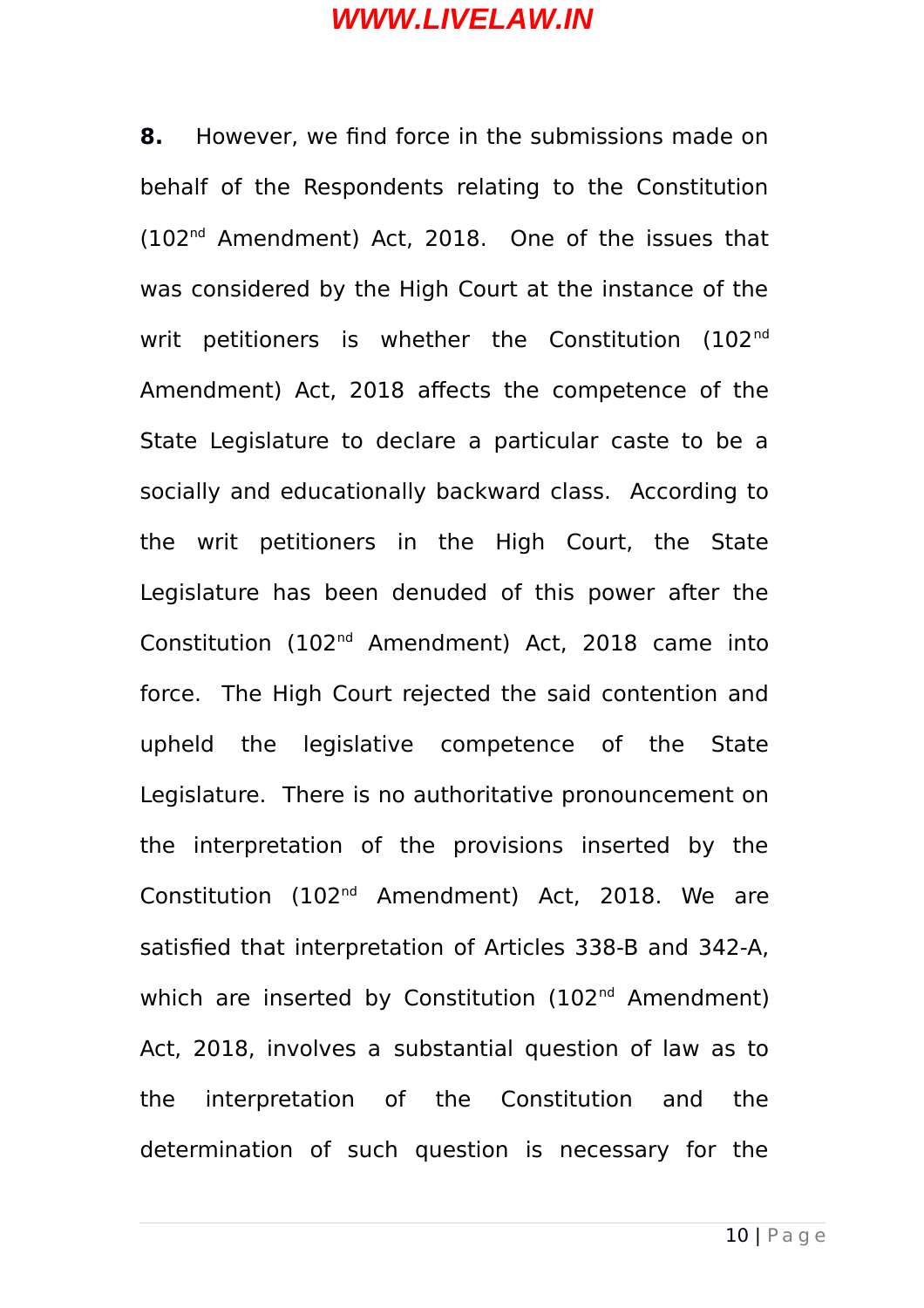**8.** However, we find force in the submissions made on behalf of the Respondents relating to the Constitution (102nd Amendment) Act, 2018. One of the issues that was considered by the High Court at the instance of the writ petitioners is whether the Constitution (102<sup>nd</sup> Amendment) Act, 2018 affects the competence of the State Legislature to declare a particular caste to be a socially and educationally backward class. According to the writ petitioners in the High Court, the State Legislature has been denuded of this power after the Constitution (102nd Amendment) Act, 2018 came into force. The High Court rejected the said contention and upheld the legislative competence of the State Legislature. There is no authoritative pronouncement on the interpretation of the provisions inserted by the Constitution (102nd Amendment) Act, 2018. We are satisfied that interpretation of Articles 338-B and 342-A, which are inserted by Constitution (102<sup>nd</sup> Amendment) Act, 2018, involves a substantial question of law as to the interpretation of the Constitution and the determination of such question is necessary for the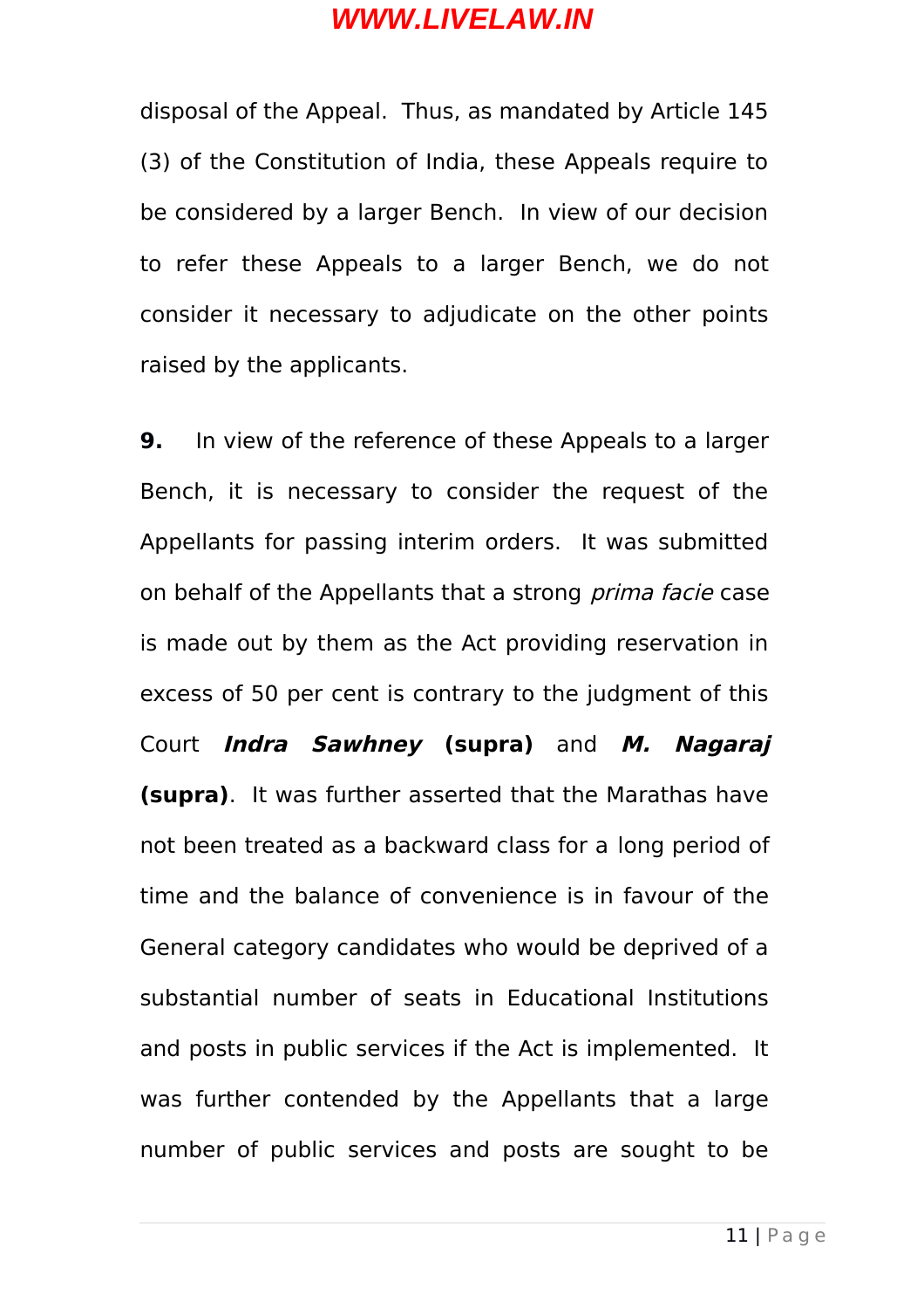disposal of the Appeal. Thus, as mandated by Article 145 (3) of the Constitution of India, these Appeals require to be considered by a larger Bench. In view of our decision to refer these Appeals to a larger Bench, we do not consider it necessary to adjudicate on the other points raised by the applicants.

**9.** In view of the reference of these Appeals to a larger Bench, it is necessary to consider the request of the Appellants for passing interim orders. It was submitted on behalf of the Appellants that a strong *prima facie* case is made out by them as the Act providing reservation in excess of 50 per cent is contrary to the judgment of this Court **Indra Sawhney (supra)** and **M. Nagaraj (supra)**. It was further asserted that the Marathas have not been treated as a backward class for a long period of time and the balance of convenience is in favour of the General category candidates who would be deprived of a substantial number of seats in Educational Institutions and posts in public services if the Act is implemented. It was further contended by the Appellants that a large number of public services and posts are sought to be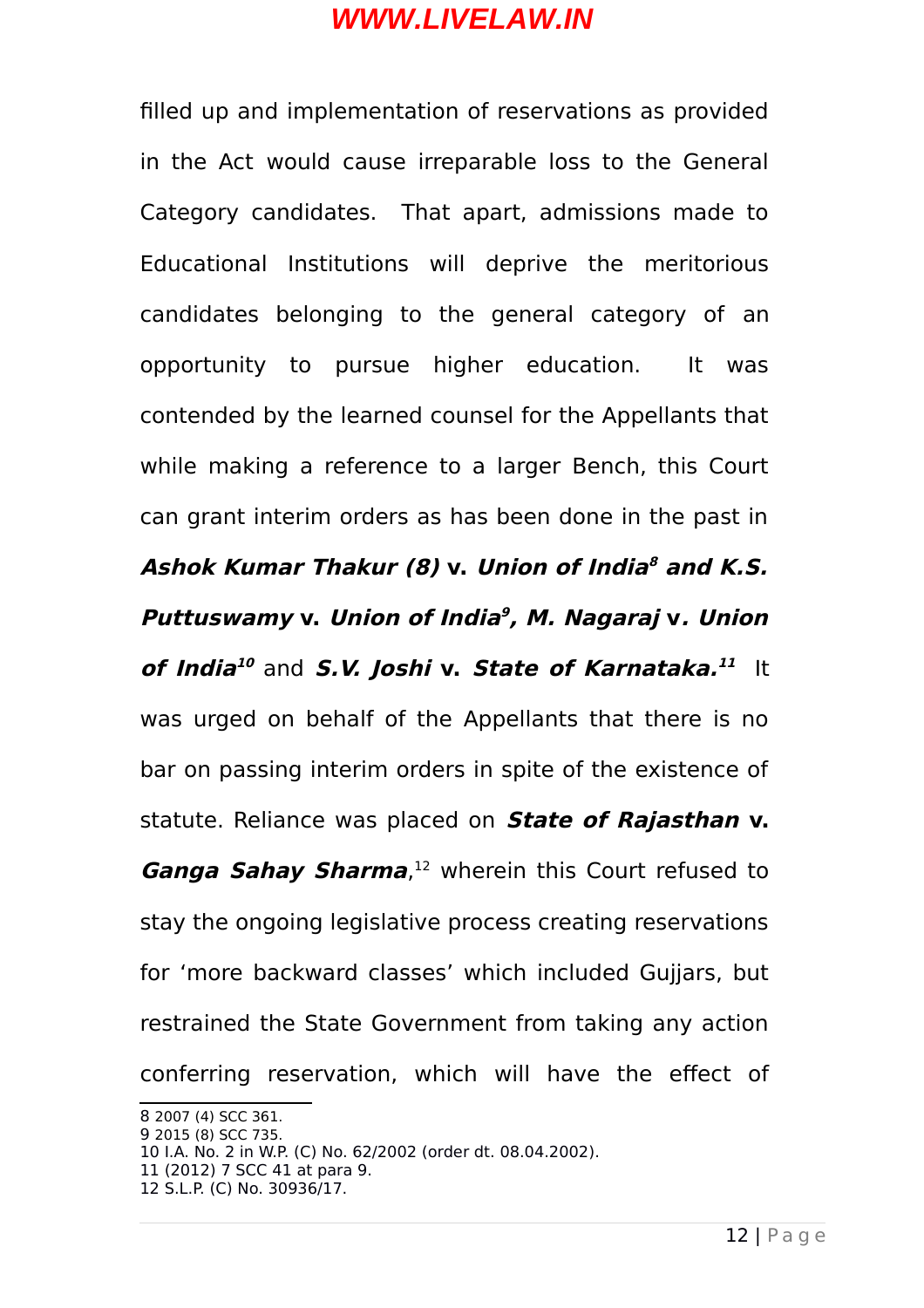filled up and implementation of reservations as provided in the Act would cause irreparable loss to the General Category candidates. That apart, admissions made to Educational Institutions will deprive the meritorious candidates belonging to the general category of an opportunity to pursue higher education. It was contended by the learned counsel for the Appellants that while making a reference to a larger Bench, this Court can grant interim orders as has been done in the past in **Ashok Kumar Thakur (8) v. Union of India [8](#page-11-0) and K.S. Puttuswamy v. Union of India [9](#page-11-1) , M. Nagaraj v. Union** *of India* $^{10}$  $^{10}$  $^{10}$  and *S.V. Joshi* v. *State of Karnataka.* $^{11}$  $^{11}$  $^{11}$  It was urged on behalf of the Appellants that there is no bar on passing interim orders in spite of the existence of statute. Reliance was placed on **State of Rajasthan v. Ganga Sahay Sharma**, [12](#page-11-4) wherein this Court refused to stay the ongoing legislative process creating reservations for 'more backward classes' which included Gujjars, but restrained the State Government from taking any action conferring reservation, which will have the effect of

<span id="page-11-0"></span><sup>8</sup> 2007 (4) SCC 361.

<span id="page-11-1"></span><sup>9</sup> 2015 (8) SCC 735.

<span id="page-11-2"></span><sup>10</sup> I.A. No. 2 in W.P. (C) No. 62/2002 (order dt. 08.04.2002).

<span id="page-11-3"></span><sup>11 (2012) 7</sup> SCC 41 at para 9.

<span id="page-11-4"></span><sup>12</sup> S.L.P. (C) No. 30936/17.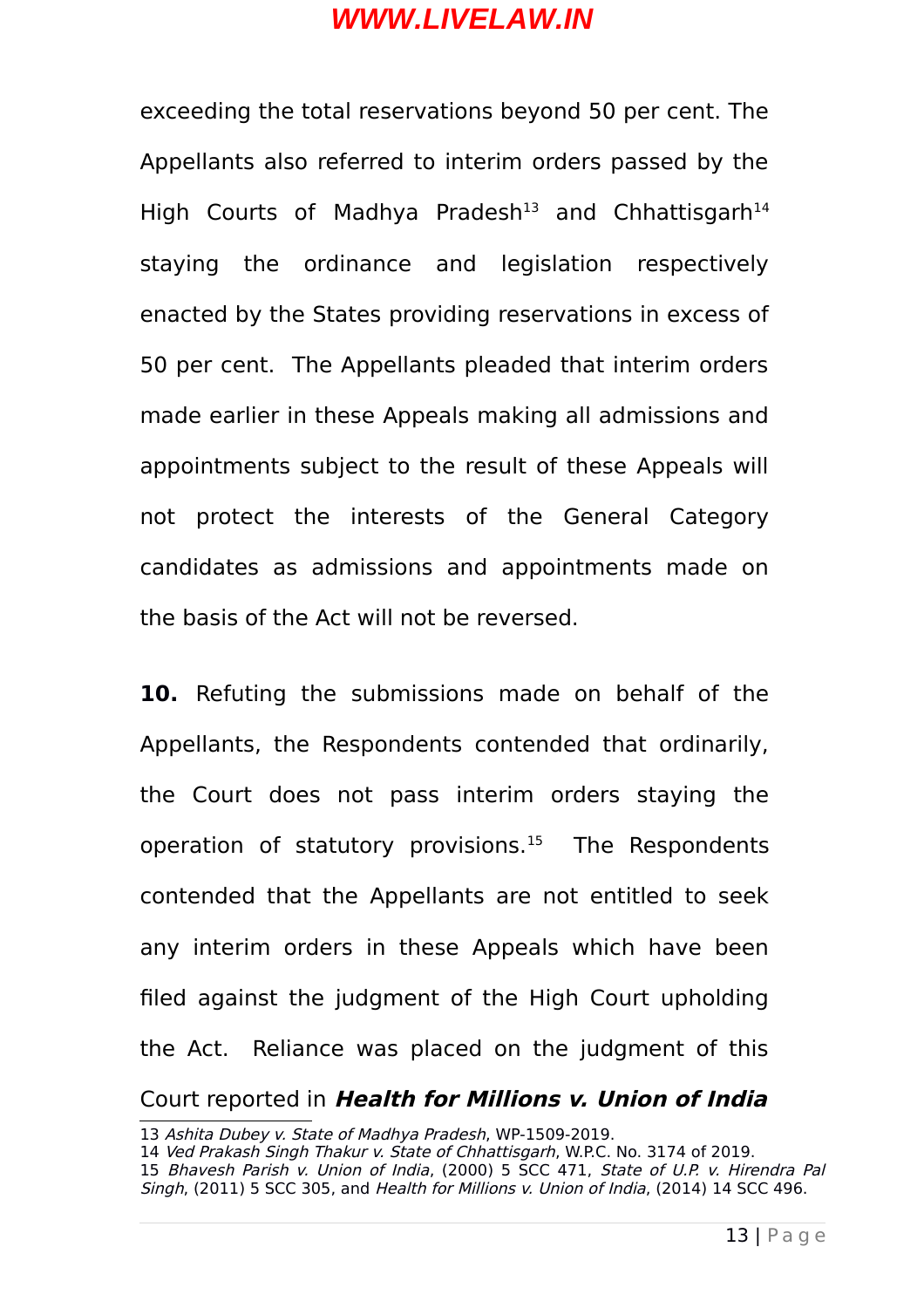exceeding the total reservations beyond 50 per cent. The Appellants also referred to interim orders passed by the High Courts of Madhya Pradesh<sup>[13](#page-12-0)</sup> and Chhattisgarh<sup>[14](#page-12-1)</sup> staying the ordinance and legislation respectively enacted by the States providing reservations in excess of 50 per cent. The Appellants pleaded that interim orders made earlier in these Appeals making all admissions and appointments subject to the result of these Appeals will not protect the interests of the General Category candidates as admissions and appointments made on the basis of the Act will not be reversed.

**10.** Refuting the submissions made on behalf of the Appellants, the Respondents contended that ordinarily, the Court does not pass interim orders staying the operation of statutory provisions. $15$  The Respondents contended that the Appellants are not entitled to seek any interim orders in these Appeals which have been filed against the judgment of the High Court upholding the Act. Reliance was placed on the judgment of this Court reported in **Health for Millions v. Union of India**

<span id="page-12-0"></span><sup>13</sup> Ashita Dubey v. State of Madhya Pradesh, WP-1509-2019.

<span id="page-12-2"></span><span id="page-12-1"></span><sup>14</sup> Ved Prakash Singh Thakur v. State of Chhattisgarh, W.P.C. No. 3174 of 2019. 15 Bhavesh Parish v. Union of India, (2000) 5 SCC 471, State of U.P. v. Hirendra Pal Singh, (2011) 5 SCC 305, and Health for Millions v. Union of India, (2014) 14 SCC 496.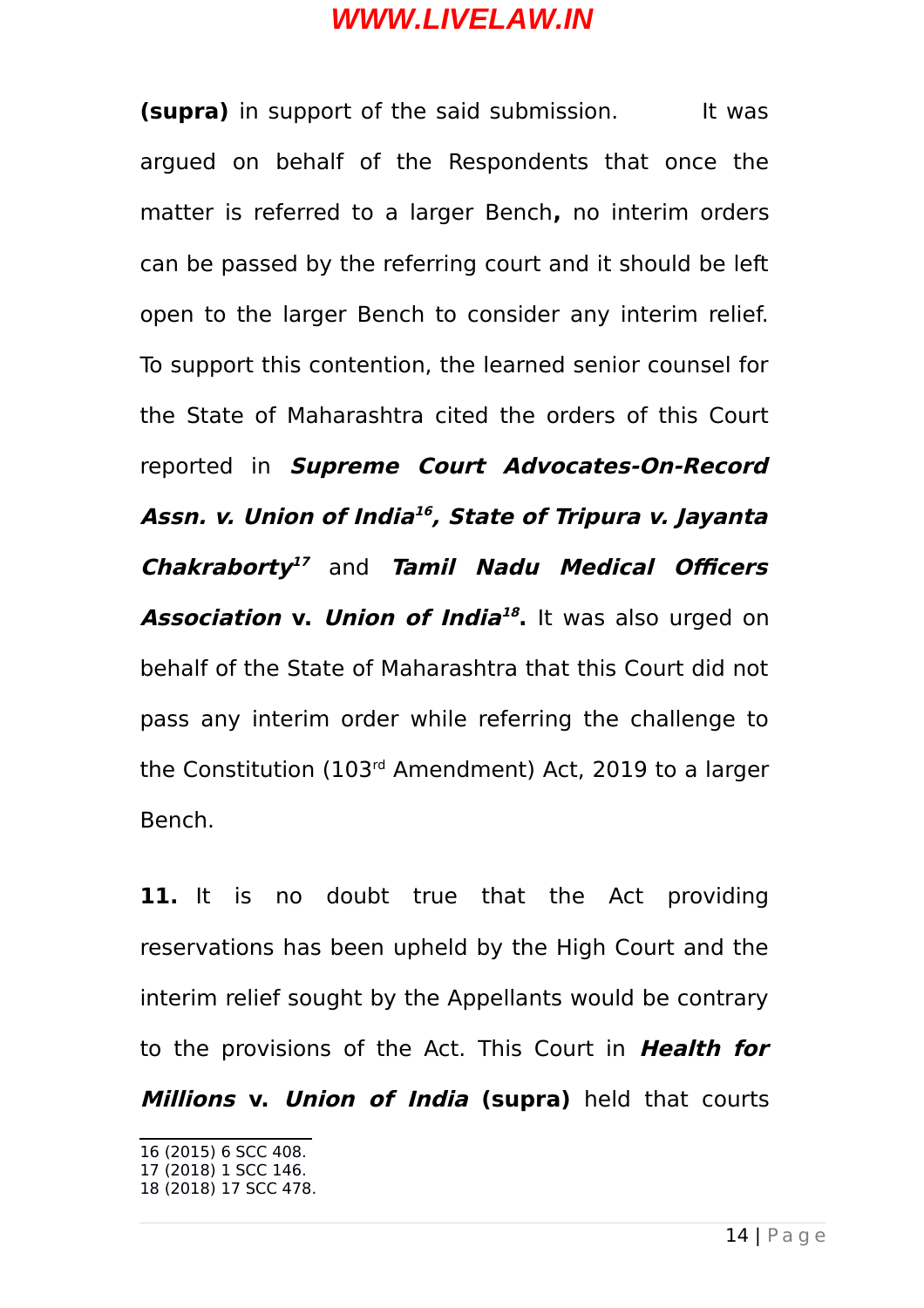**(supra)** in support of the said submission. It was argued on behalf of the Respondents that once the matter is referred to a larger Bench**,** no interim orders can be passed by the referring court and it should be left open to the larger Bench to consider any interim relief. To support this contention, the learned senior counsel for the State of Maharashtra cited the orders of this Court reported in **Supreme Court Advocates-On-Record Assn. v. Union of India [16](#page-13-0) , State of Tripura v. Jayanta Chakraborty [17](#page-13-1)** and **Tamil Nadu Medical Officers Association v. Union of India [18](#page-13-2) .** It was also urged on behalf of the State of Maharashtra that this Court did not pass any interim order while referring the challenge to the Constitution (103rd Amendment) Act, 2019 to a larger Bench.

**11.** It is no doubt true that the Act providing reservations has been upheld by the High Court and the interim relief sought by the Appellants would be contrary to the provisions of the Act. This Court in **Health for Millions v. Union of India (supra)** held that courts

<span id="page-13-0"></span><sup>16 (2015) 6</sup> SCC 408.

<span id="page-13-1"></span><sup>17 (2018) 1</sup> SCC 146.

<span id="page-13-2"></span><sup>18 (2018) 17</sup> SCC 478.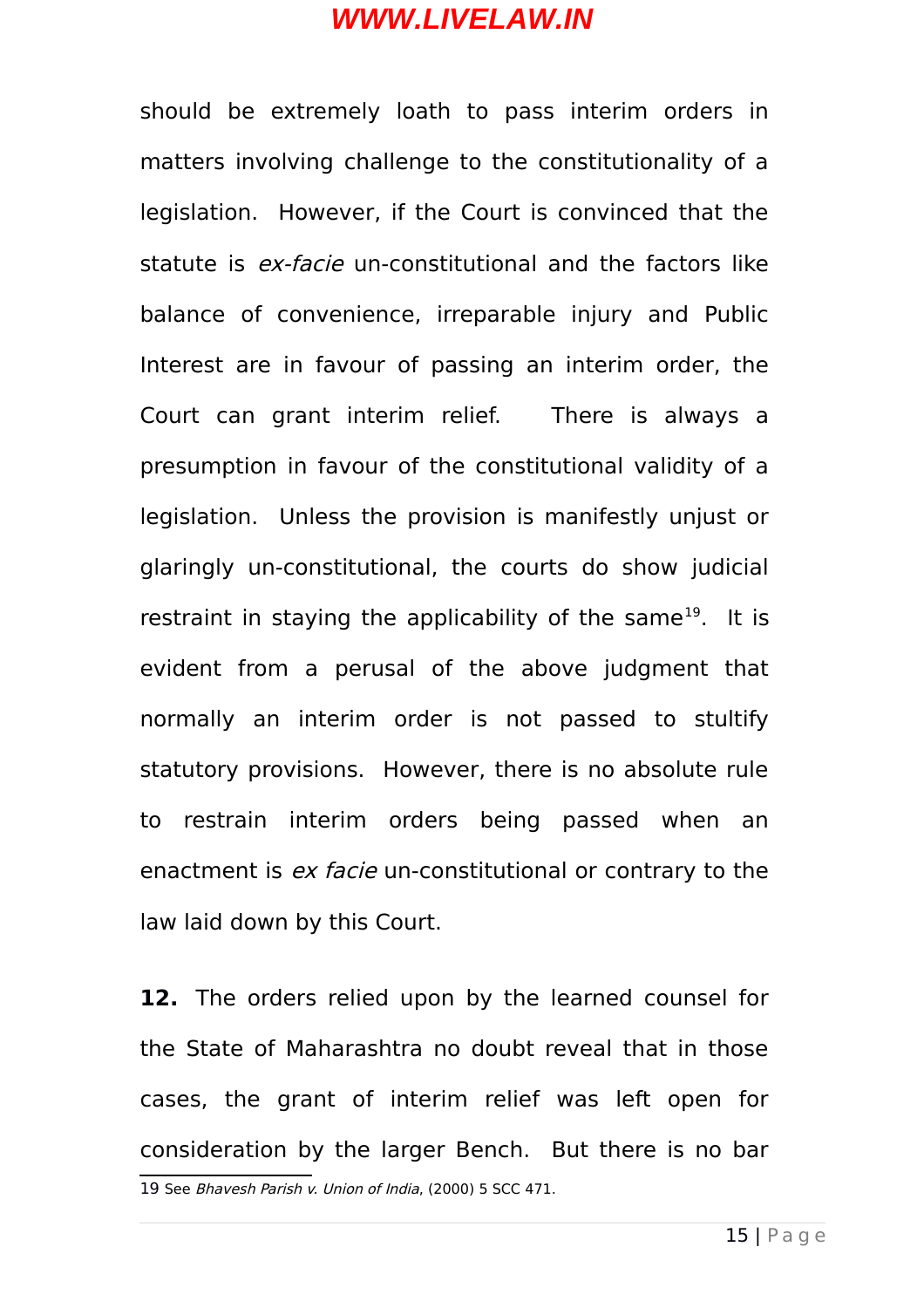should be extremely loath to pass interim orders in matters involving challenge to the constitutionality of a legislation. However, if the Court is convinced that the statute is *ex-facie* un-constitutional and the factors like balance of convenience, irreparable injury and Public Interest are in favour of passing an interim order, the Court can grant interim relief. There is always a presumption in favour of the constitutional validity of a legislation. Unless the provision is manifestly unjust or glaringly un-constitutional, the courts do show judicial restraint in staying the applicability of the same<sup>[19](#page-14-0)</sup>. It is evident from a perusal of the above judgment that normally an interim order is not passed to stultify statutory provisions. However, there is no absolute rule to restrain interim orders being passed when an enactment is *ex facie* un-constitutional or contrary to the law laid down by this Court.

<span id="page-14-0"></span>**12.** The orders relied upon by the learned counsel for the State of Maharashtra no doubt reveal that in those cases, the grant of interim relief was left open for consideration by the larger Bench. But there is no bar 19 See Bhavesh Parish v. Union of India, (2000) 5 SCC 471.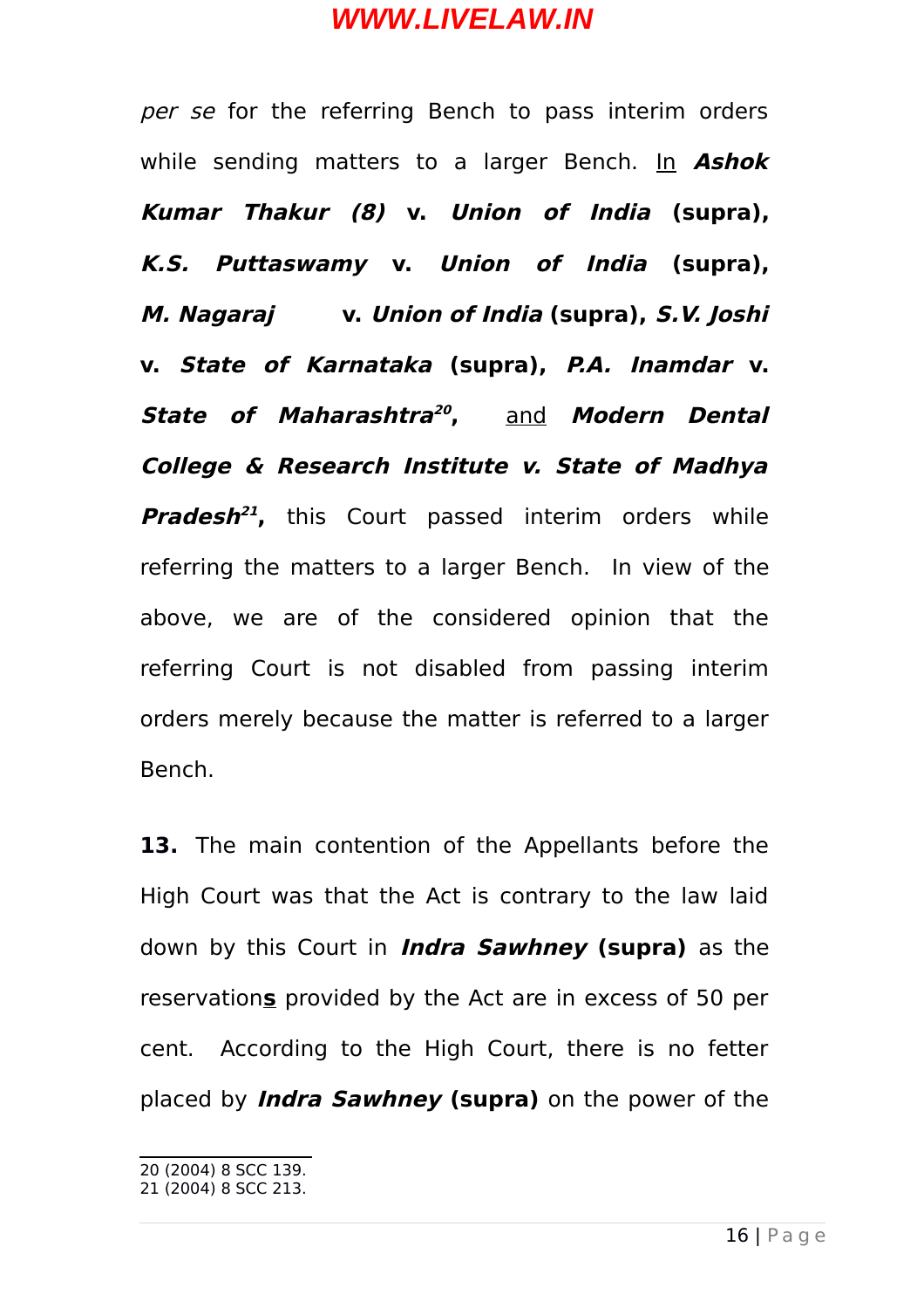per se for the referring Bench to pass interim orders while sending matters to a larger Bench. In **Ashok Kumar Thakur (8) v. Union of India (supra), K.S. Puttaswamy v. Union of India (supra), M. Nagaraj v. Union of India (supra), S.V. Joshi v. State of Karnataka (supra), P.A. Inamdar v. State of Maharashtra [20](#page-15-0) ,** and **Modern Dental College & Research Institute v. State of Madhya Pradesh [21](#page-15-1) ,** this Court passed interim orders while referring the matters to a larger Bench. In view of the above, we are of the considered opinion that the referring Court is not disabled from passing interim orders merely because the matter is referred to a larger Bench.

**13.** The main contention of the Appellants before the High Court was that the Act is contrary to the law laid down by this Court in **Indra Sawhney (supra)** as the reservation**s** provided by the Act are in excess of 50 per cent. According to the High Court, there is no fetter placed by **Indra Sawhney (supra)** on the power of the

<span id="page-15-0"></span><sup>20 (2004) 8</sup> SCC 139.

<span id="page-15-1"></span><sup>21 (2004) 8</sup> SCC 213.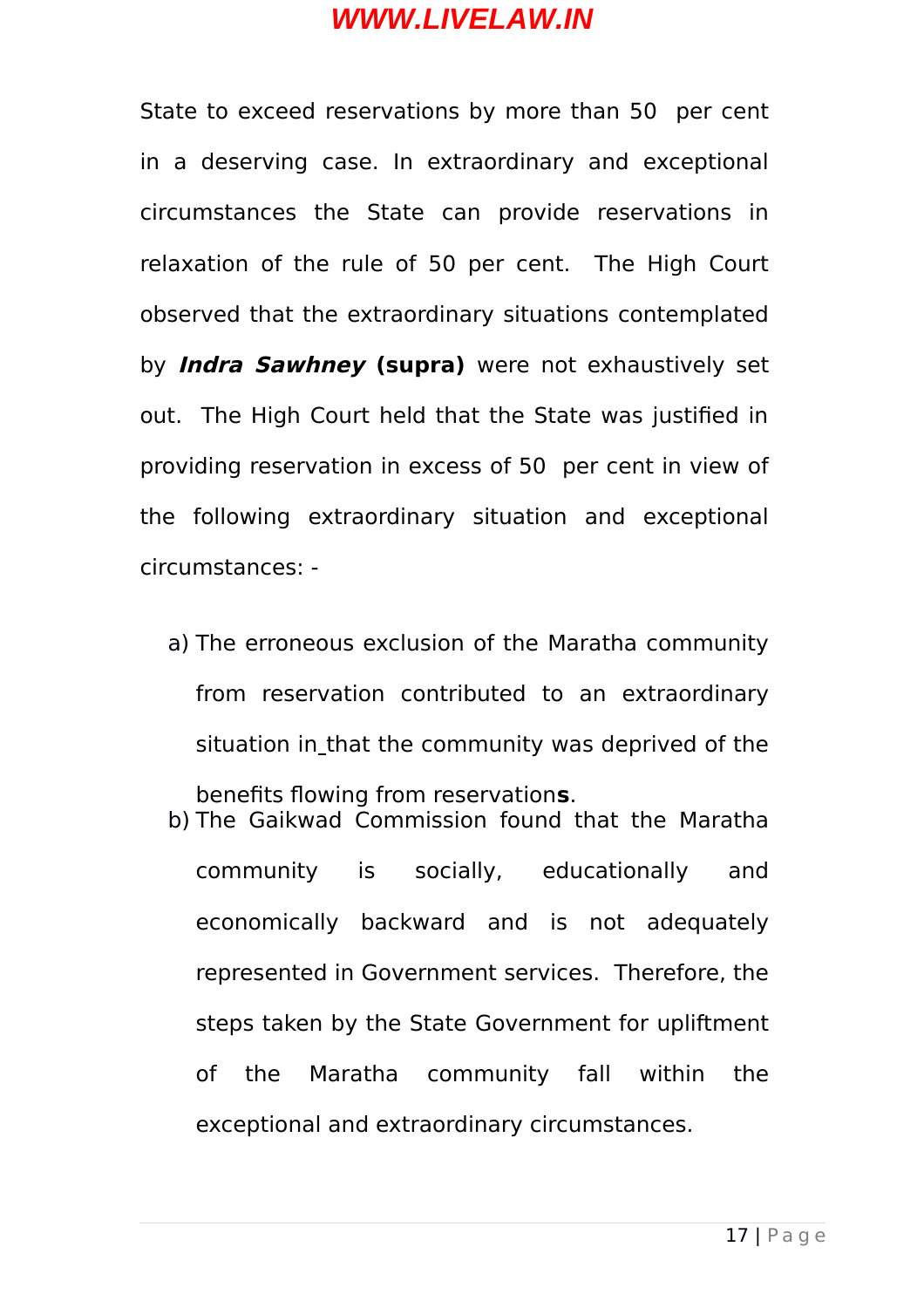State to exceed reservations by more than 50 per cent in a deserving case. In extraordinary and exceptional circumstances the State can provide reservations in relaxation of the rule of 50 per cent. The High Court observed that the extraordinary situations contemplated by **Indra Sawhney (supra)** were not exhaustively set out. The High Court held that the State was justified in providing reservation in excess of 50 per cent in view of the following extraordinary situation and exceptional circumstances: -

- a) The erroneous exclusion of the Maratha community from reservation contributed to an extraordinary situation in that the community was deprived of the benefits flowing from reservation**s**.
- b) The Gaikwad Commission found that the Maratha community is socially, educationally and economically backward and is not adequately represented in Government services. Therefore, the steps taken by the State Government for upliftment of the Maratha community fall within the exceptional and extraordinary circumstances.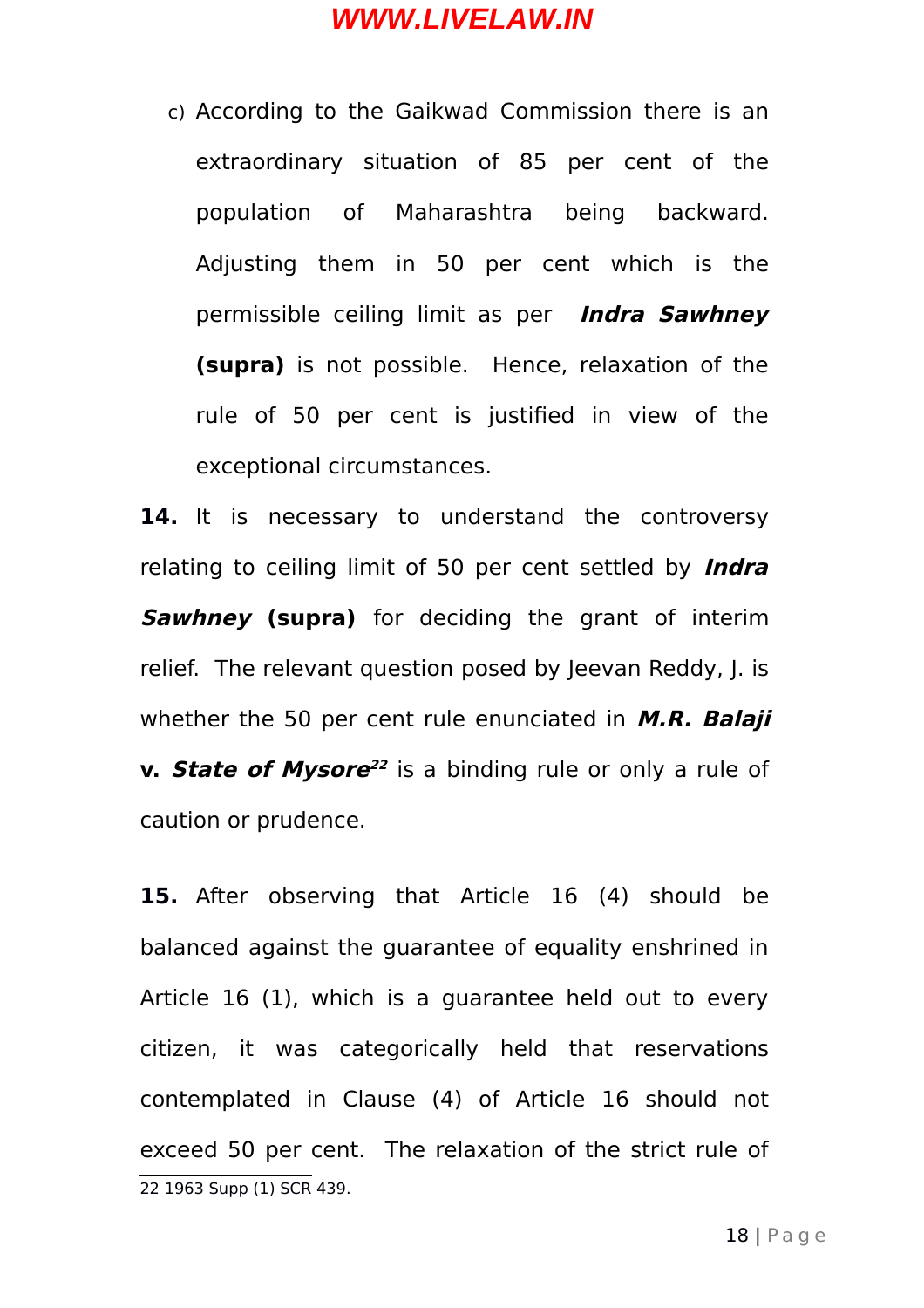c) According to the Gaikwad Commission there is an extraordinary situation of 85 per cent of the population of Maharashtra being backward. Adjusting them in 50 per cent which is the permissible ceiling limit as per **Indra Sawhney (supra)** is not possible. Hence, relaxation of the rule of 50 per cent is justified in view of the exceptional circumstances.

14. It is necessary to understand the controversy relating to ceiling limit of 50 per cent settled by **Indra Sawhney (supra)** for deciding the grant of interim relief. The relevant question posed by Jeevan Reddy, J. is whether the 50 per cent rule enunciated in **M.R. Balaji v. State of Mysore [22](#page-17-0)** is a binding rule or only a rule of caution or prudence.

<span id="page-17-0"></span>**15.** After observing that Article 16 (4) should be balanced against the guarantee of equality enshrined in Article 16 (1), which is a guarantee held out to every citizen, it was categorically held that reservations contemplated in Clause (4) of Article 16 should not exceed 50 per cent. The relaxation of the strict rule of 22 1963 Supp (1) SCR 439.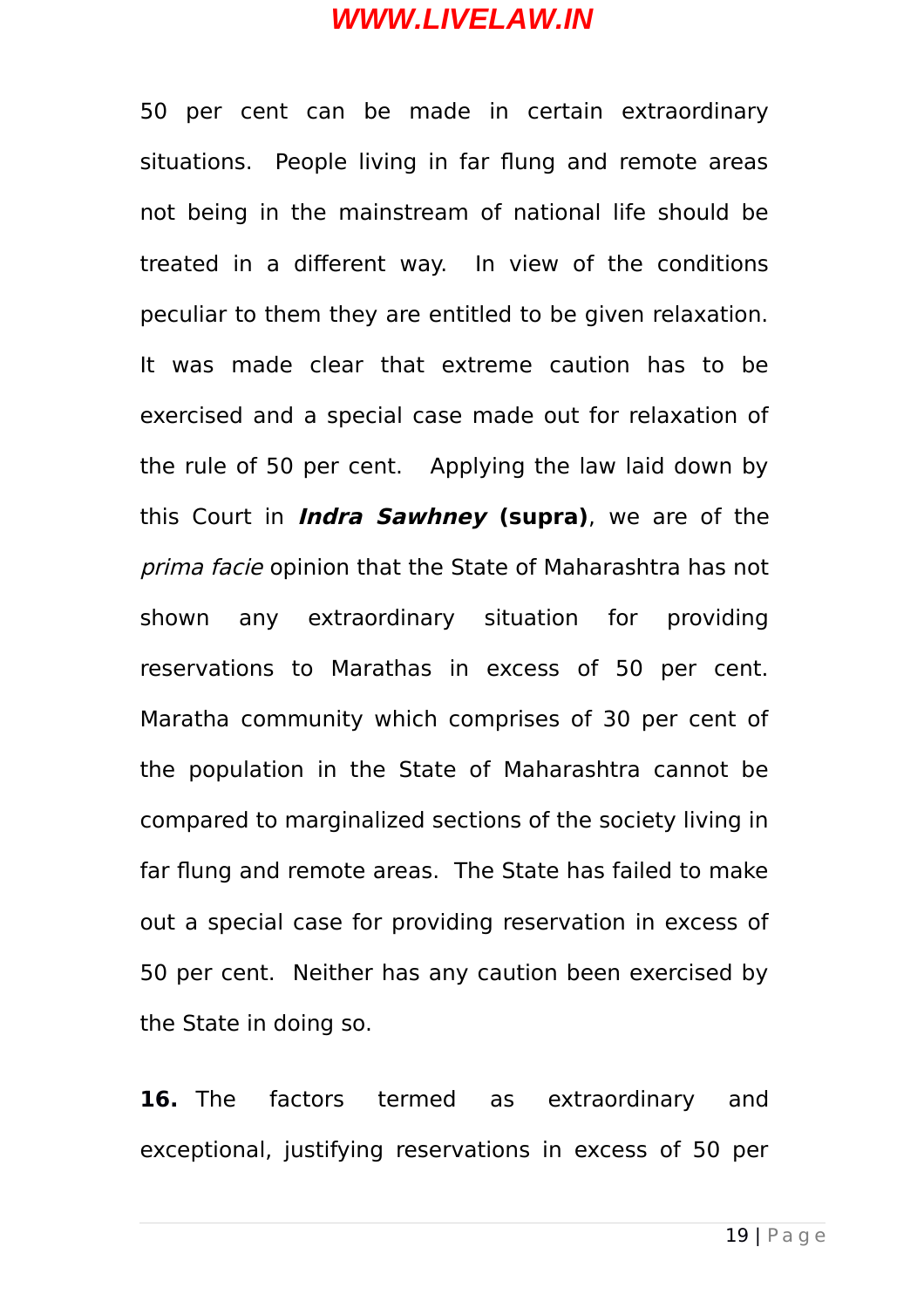50 per cent can be made in certain extraordinary situations. People living in far flung and remote areas not being in the mainstream of national life should be treated in a different way. In view of the conditions peculiar to them they are entitled to be given relaxation. It was made clear that extreme caution has to be exercised and a special case made out for relaxation of the rule of 50 per cent. Applying the law laid down by this Court in **Indra Sawhney (supra)**, we are of the prima facie opinion that the State of Maharashtra has not shown any extraordinary situation for providing reservations to Marathas in excess of 50 per cent. Maratha community which comprises of 30 per cent of the population in the State of Maharashtra cannot be compared to marginalized sections of the society living in far flung and remote areas. The State has failed to make out a special case for providing reservation in excess of 50 per cent. Neither has any caution been exercised by the State in doing so.

**16.** The factors termed as extraordinary and exceptional, justifying reservations in excess of 50 per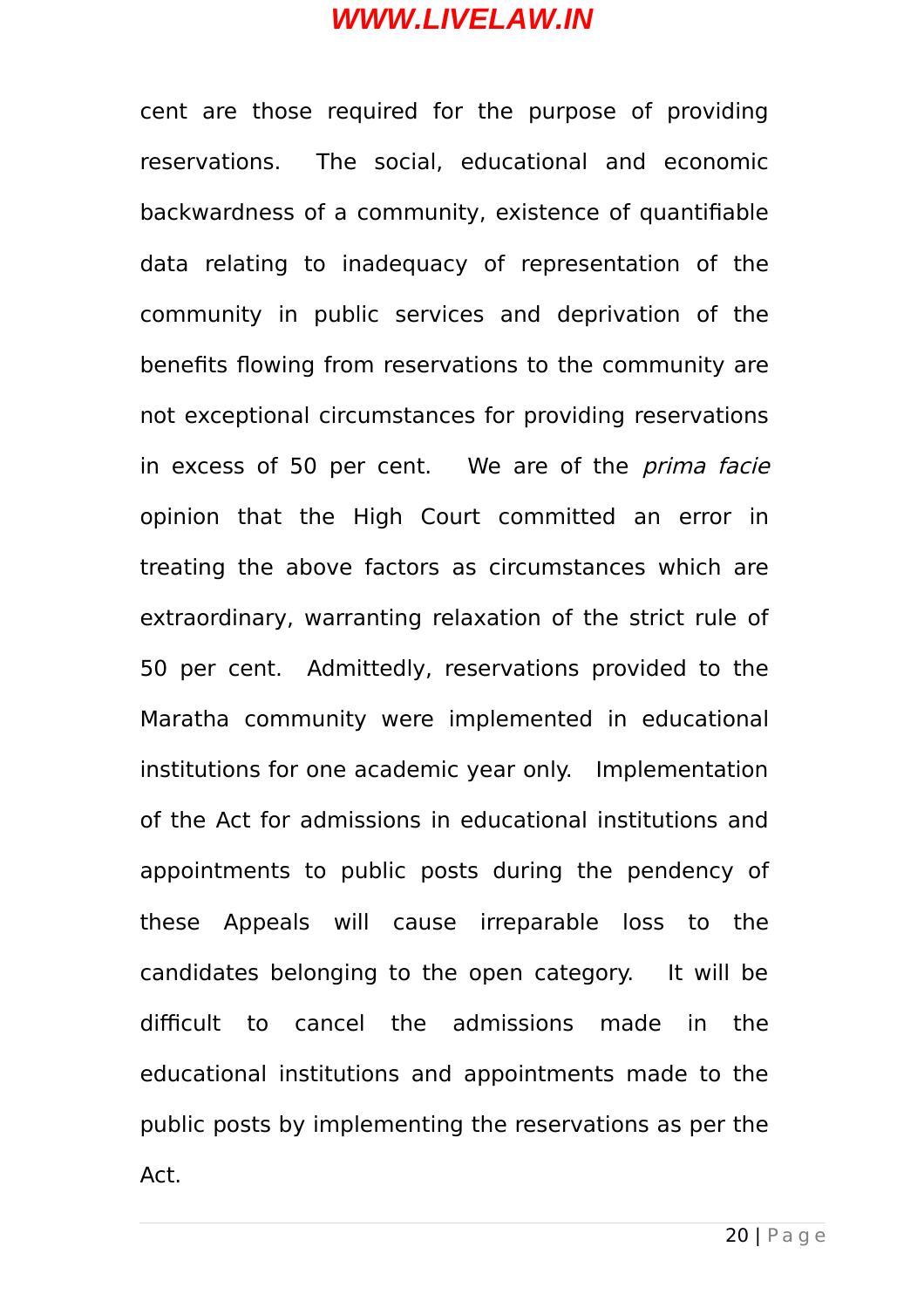cent are those required for the purpose of providing reservations. The social, educational and economic backwardness of a community, existence of quantifiable data relating to inadequacy of representation of the community in public services and deprivation of the benefits flowing from reservations to the community are not exceptional circumstances for providing reservations in excess of 50 per cent. We are of the *prima facie* opinion that the High Court committed an error in treating the above factors as circumstances which are extraordinary, warranting relaxation of the strict rule of 50 per cent. Admittedly, reservations provided to the Maratha community were implemented in educational institutions for one academic year only. Implementation of the Act for admissions in educational institutions and appointments to public posts during the pendency of these Appeals will cause irreparable loss to the candidates belonging to the open category. It will be difficult to cancel the admissions made in the educational institutions and appointments made to the public posts by implementing the reservations as per the Act.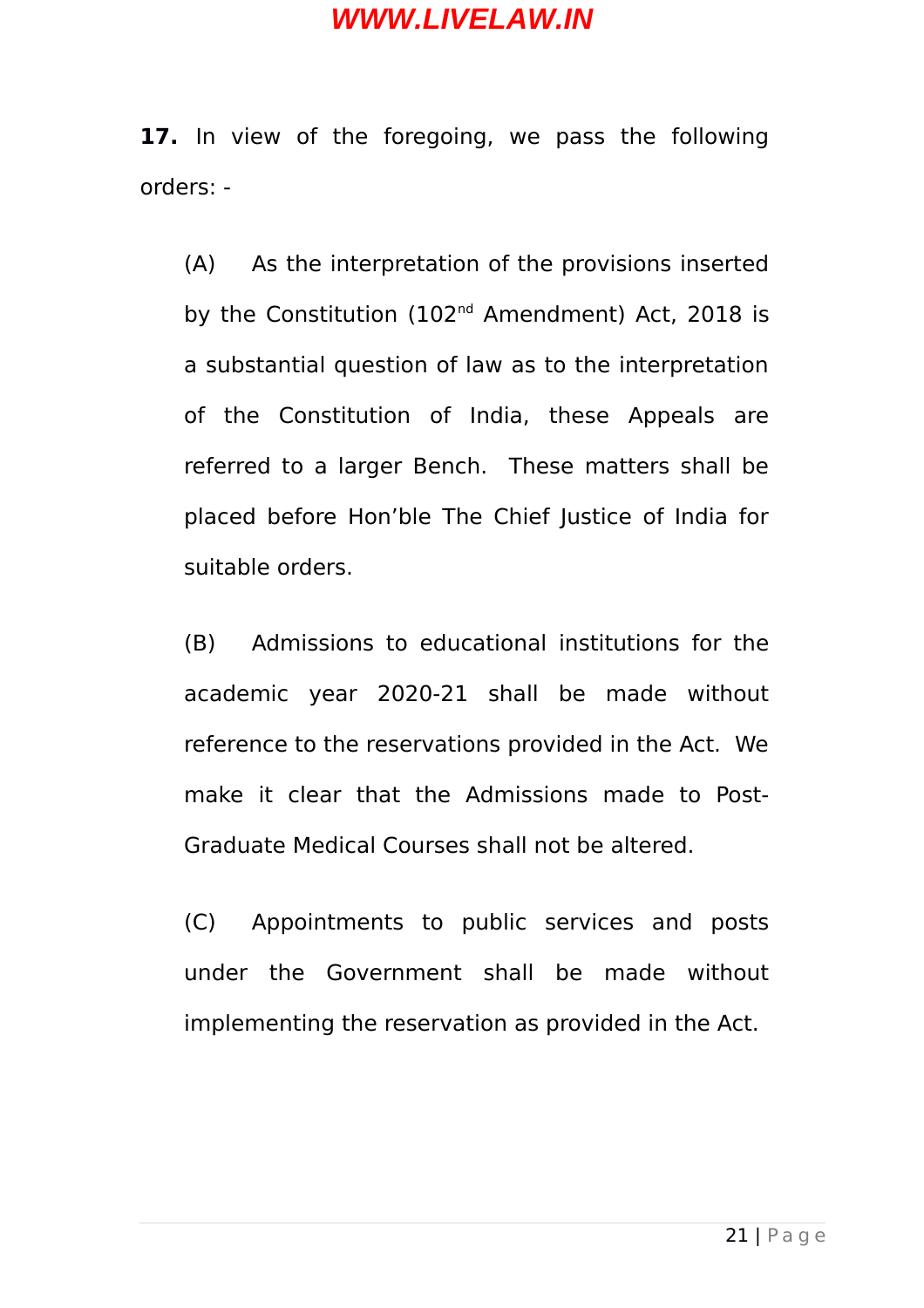**17.** In view of the foregoing, we pass the following orders: -

(A) As the interpretation of the provisions inserted by the Constitution (102<sup>nd</sup> Amendment) Act, 2018 is a substantial question of law as to the interpretation of the Constitution of India, these Appeals are referred to a larger Bench. These matters shall be placed before Hon'ble The Chief Justice of India for suitable orders.

(B) Admissions to educational institutions for the academic year 2020-21 shall be made without reference to the reservations provided in the Act. We make it clear that the Admissions made to Post-Graduate Medical Courses shall not be altered.

(C) Appointments to public services and posts under the Government shall be made without implementing the reservation as provided in the Act.